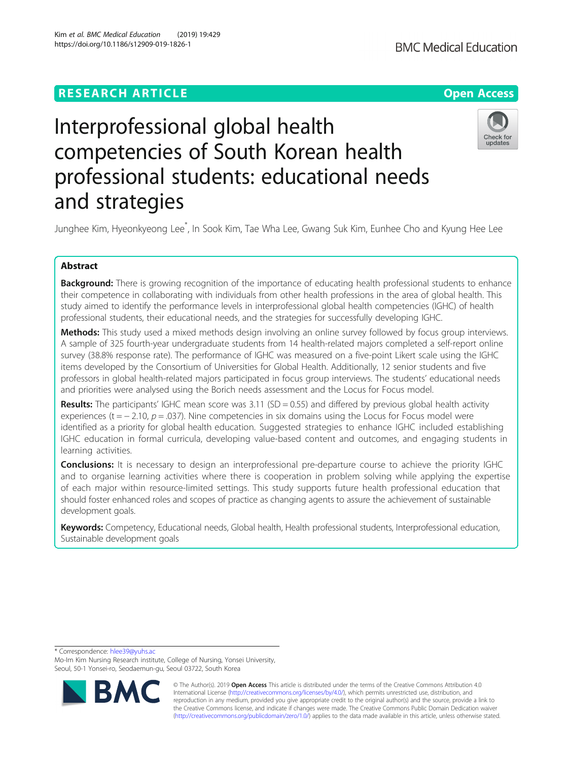# **RESEARCH ARTICLE Example 2014 12:30 The Contract of Contract ACCESS**



# Interprofessional global health competencies of South Korean health professional students: educational needs and strategies



Junghee Kim, Hyeonkyeong Lee\* , In Sook Kim, Tae Wha Lee, Gwang Suk Kim, Eunhee Cho and Kyung Hee Lee

# Abstract

**Background:** There is growing recognition of the importance of educating health professional students to enhance their competence in collaborating with individuals from other health professions in the area of global health. This study aimed to identify the performance levels in interprofessional global health competencies (IGHC) of health professional students, their educational needs, and the strategies for successfully developing IGHC.

Methods: This study used a mixed methods design involving an online survey followed by focus group interviews. A sample of 325 fourth-year undergraduate students from 14 health-related majors completed a self-report online survey (38.8% response rate). The performance of IGHC was measured on a five-point Likert scale using the IGHC items developed by the Consortium of Universities for Global Health. Additionally, 12 senior students and five professors in global health-related majors participated in focus group interviews. The students' educational needs and priorities were analysed using the Borich needs assessment and the Locus for Focus model.

**Results:** The participants' IGHC mean score was 3.11 (SD = 0.55) and differed by previous global health activity experiences (t =  $-$  2.10,  $p$  = .037). Nine competencies in six domains using the Locus for Focus model were identified as a priority for global health education. Suggested strategies to enhance IGHC included establishing IGHC education in formal curricula, developing value-based content and outcomes, and engaging students in learning activities.

Conclusions: It is necessary to design an interprofessional pre-departure course to achieve the priority IGHC and to organise learning activities where there is cooperation in problem solving while applying the expertise of each major within resource-limited settings. This study supports future health professional education that should foster enhanced roles and scopes of practice as changing agents to assure the achievement of sustainable development goals.

Keywords: Competency, Educational needs, Global health, Health professional students, Interprofessional education, Sustainable development goals

\* Correspondence: [hlee39@yuhs.ac](mailto:hlee39@yuhs.ac)

Mo-Im Kim Nursing Research institute, College of Nursing, Yonsei University, Seoul, 50-1 Yonsei-ro, Seodaemun-gu, Seoul 03722, South Korea



© The Author(s). 2019 **Open Access** This article is distributed under the terms of the Creative Commons Attribution 4.0 International License [\(http://creativecommons.org/licenses/by/4.0/](http://creativecommons.org/licenses/by/4.0/)), which permits unrestricted use, distribution, and reproduction in any medium, provided you give appropriate credit to the original author(s) and the source, provide a link to the Creative Commons license, and indicate if changes were made. The Creative Commons Public Domain Dedication waiver [\(http://creativecommons.org/publicdomain/zero/1.0/](http://creativecommons.org/publicdomain/zero/1.0/)) applies to the data made available in this article, unless otherwise stated.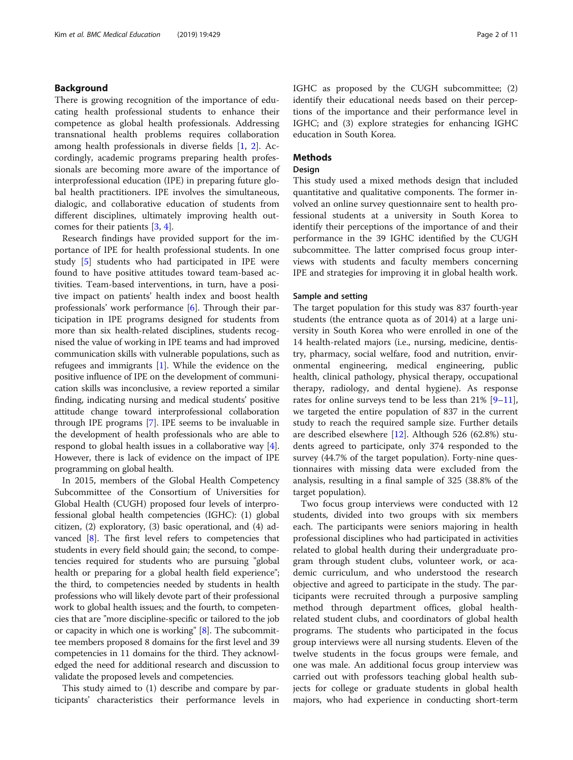# Background

There is growing recognition of the importance of educating health professional students to enhance their competence as global health professionals. Addressing transnational health problems requires collaboration among health professionals in diverse fields [[1](#page-10-0), [2\]](#page-10-0). Accordingly, academic programs preparing health professionals are becoming more aware of the importance of interprofessional education (IPE) in preparing future global health practitioners. IPE involves the simultaneous, dialogic, and collaborative education of students from different disciplines, ultimately improving health outcomes for their patients [\[3](#page-10-0), [4](#page-10-0)].

Research findings have provided support for the importance of IPE for health professional students. In one study [\[5](#page-10-0)] students who had participated in IPE were found to have positive attitudes toward team-based activities. Team-based interventions, in turn, have a positive impact on patients' health index and boost health professionals' work performance [[6](#page-10-0)]. Through their participation in IPE programs designed for students from more than six health-related disciplines, students recognised the value of working in IPE teams and had improved communication skills with vulnerable populations, such as refugees and immigrants [\[1](#page-10-0)]. While the evidence on the positive influence of IPE on the development of communication skills was inconclusive, a review reported a similar finding, indicating nursing and medical students' positive attitude change toward interprofessional collaboration through IPE programs [[7\]](#page-10-0). IPE seems to be invaluable in the development of health professionals who are able to respond to global health issues in a collaborative way [[4](#page-10-0)]. However, there is lack of evidence on the impact of IPE programming on global health.

In 2015, members of the Global Health Competency Subcommittee of the Consortium of Universities for Global Health (CUGH) proposed four levels of interprofessional global health competencies (IGHC): (1) global citizen, (2) exploratory, (3) basic operational, and (4) ad-vanced [\[8\]](#page-10-0). The first level refers to competencies that students in every field should gain; the second, to competencies required for students who are pursuing "global health or preparing for a global health field experience"; the third, to competencies needed by students in health professions who will likely devote part of their professional work to global health issues; and the fourth, to competencies that are "more discipline-specific or tailored to the job or capacity in which one is working" [\[8\]](#page-10-0). The subcommittee members proposed 8 domains for the first level and 39 competencies in 11 domains for the third. They acknowledged the need for additional research and discussion to validate the proposed levels and competencies.

This study aimed to (1) describe and compare by participants' characteristics their performance levels in IGHC as proposed by the CUGH subcommittee; (2) identify their educational needs based on their perceptions of the importance and their performance level in IGHC; and (3) explore strategies for enhancing IGHC education in South Korea.

# **Methods**

## Design

This study used a mixed methods design that included quantitative and qualitative components. The former involved an online survey questionnaire sent to health professional students at a university in South Korea to identify their perceptions of the importance of and their performance in the 39 IGHC identified by the CUGH subcommittee. The latter comprised focus group interviews with students and faculty members concerning IPE and strategies for improving it in global health work.

## Sample and setting

The target population for this study was 837 fourth-year students (the entrance quota as of 2014) at a large university in South Korea who were enrolled in one of the 14 health-related majors (i.e., nursing, medicine, dentistry, pharmacy, social welfare, food and nutrition, environmental engineering, medical engineering, public health, clinical pathology, physical therapy, occupational therapy, radiology, and dental hygiene). As response rates for online surveys tend to be less than  $21\%$  [[9](#page-10-0)–[11](#page-10-0)], we targeted the entire population of 837 in the current study to reach the required sample size. Further details are described elsewhere [[12\]](#page-10-0). Although 526 (62.8%) students agreed to participate, only 374 responded to the survey (44.7% of the target population). Forty-nine questionnaires with missing data were excluded from the analysis, resulting in a final sample of 325 (38.8% of the target population).

Two focus group interviews were conducted with 12 students, divided into two groups with six members each. The participants were seniors majoring in health professional disciplines who had participated in activities related to global health during their undergraduate program through student clubs, volunteer work, or academic curriculum, and who understood the research objective and agreed to participate in the study. The participants were recruited through a purposive sampling method through department offices, global healthrelated student clubs, and coordinators of global health programs. The students who participated in the focus group interviews were all nursing students. Eleven of the twelve students in the focus groups were female, and one was male. An additional focus group interview was carried out with professors teaching global health subjects for college or graduate students in global health majors, who had experience in conducting short-term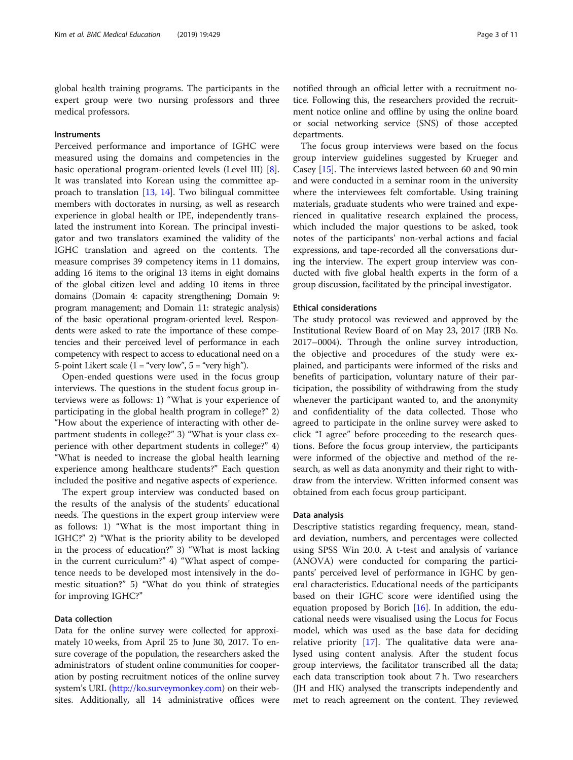global health training programs. The participants in the expert group were two nursing professors and three medical professors.

# Instruments

Perceived performance and importance of IGHC were measured using the domains and competencies in the basic operational program-oriented levels (Level III) [\[8](#page-10-0)]. It was translated into Korean using the committee approach to translation [\[13](#page-10-0), [14\]](#page-10-0). Two bilingual committee members with doctorates in nursing, as well as research experience in global health or IPE, independently translated the instrument into Korean. The principal investigator and two translators examined the validity of the IGHC translation and agreed on the contents. The measure comprises 39 competency items in 11 domains, adding 16 items to the original 13 items in eight domains of the global citizen level and adding 10 items in three domains (Domain 4: capacity strengthening; Domain 9: program management; and Domain 11: strategic analysis) of the basic operational program-oriented level. Respondents were asked to rate the importance of these competencies and their perceived level of performance in each competency with respect to access to educational need on a 5-point Likert scale  $(1 = "very low", 5 = "very high").$ 

Open-ended questions were used in the focus group interviews. The questions in the student focus group interviews were as follows: 1) "What is your experience of participating in the global health program in college?" 2) "How about the experience of interacting with other department students in college?" 3) "What is your class experience with other department students in college?" 4) "What is needed to increase the global health learning experience among healthcare students?" Each question included the positive and negative aspects of experience.

The expert group interview was conducted based on the results of the analysis of the students' educational needs. The questions in the expert group interview were as follows: 1) "What is the most important thing in IGHC?" 2) "What is the priority ability to be developed in the process of education?" 3) "What is most lacking in the current curriculum?" 4) "What aspect of competence needs to be developed most intensively in the domestic situation?" 5) "What do you think of strategies for improving IGHC?"

# Data collection

Data for the online survey were collected for approximately 10 weeks, from April 25 to June 30, 2017. To ensure coverage of the population, the researchers asked the administrators of student online communities for cooperation by posting recruitment notices of the online survey system's URL [\(http://ko.surveymonkey.com\)](http://ko.surveymonkey.com) on their websites. Additionally, all 14 administrative offices were notified through an official letter with a recruitment notice. Following this, the researchers provided the recruitment notice online and offline by using the online board or social networking service (SNS) of those accepted departments.

The focus group interviews were based on the focus group interview guidelines suggested by Krueger and Casey [[15](#page-10-0)]. The interviews lasted between 60 and 90 min and were conducted in a seminar room in the university where the interviewees felt comfortable. Using training materials, graduate students who were trained and experienced in qualitative research explained the process, which included the major questions to be asked, took notes of the participants' non-verbal actions and facial expressions, and tape-recorded all the conversations during the interview. The expert group interview was conducted with five global health experts in the form of a group discussion, facilitated by the principal investigator.

## Ethical considerations

The study protocol was reviewed and approved by the Institutional Review Board of on May 23, 2017 (IRB No. 2017–0004). Through the online survey introduction, the objective and procedures of the study were explained, and participants were informed of the risks and benefits of participation, voluntary nature of their participation, the possibility of withdrawing from the study whenever the participant wanted to, and the anonymity and confidentiality of the data collected. Those who agreed to participate in the online survey were asked to click "I agree" before proceeding to the research questions. Before the focus group interview, the participants were informed of the objective and method of the research, as well as data anonymity and their right to withdraw from the interview. Written informed consent was obtained from each focus group participant.

## Data analysis

Descriptive statistics regarding frequency, mean, standard deviation, numbers, and percentages were collected using SPSS Win 20.0. A t-test and analysis of variance (ANOVA) were conducted for comparing the participants' perceived level of performance in IGHC by general characteristics. Educational needs of the participants based on their IGHC score were identified using the equation proposed by Borich [[16](#page-10-0)]. In addition, the educational needs were visualised using the Locus for Focus model, which was used as the base data for deciding relative priority [\[17\]](#page-10-0). The qualitative data were analysed using content analysis. After the student focus group interviews, the facilitator transcribed all the data; each data transcription took about 7 h. Two researchers (JH and HK) analysed the transcripts independently and met to reach agreement on the content. They reviewed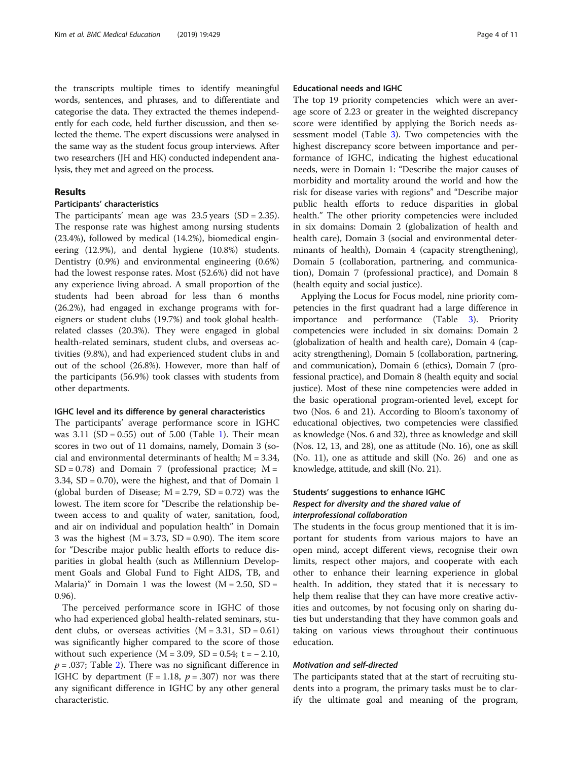the transcripts multiple times to identify meaningful words, sentences, and phrases, and to differentiate and categorise the data. They extracted the themes independently for each code, held further discussion, and then selected the theme. The expert discussions were analysed in the same way as the student focus group interviews. After two researchers (JH and HK) conducted independent analysis, they met and agreed on the process.

# Results

# Participants' characteristics

The participants' mean age was  $23.5$  years (SD = 2.35). The response rate was highest among nursing students (23.4%), followed by medical (14.2%), biomedical engineering (12.9%), and dental hygiene (10.8%) students. Dentistry (0.9%) and environmental engineering (0.6%) had the lowest response rates. Most (52.6%) did not have any experience living abroad. A small proportion of the students had been abroad for less than 6 months (26.2%), had engaged in exchange programs with foreigners or student clubs (19.7%) and took global healthrelated classes (20.3%). They were engaged in global health-related seminars, student clubs, and overseas activities (9.8%), and had experienced student clubs in and out of the school (26.8%). However, more than half of the participants (56.9%) took classes with students from other departments.

## IGHC level and its difference by general characteristics

The participants' average performance score in IGHC was  $3.11$  $3.11$  $3.11$  (SD = 0.55) out of 5.00 (Table 1). Their mean scores in two out of 11 domains, namely, Domain 3 (social and environmental determinants of health;  $M = 3.34$ ,  $SD = 0.78$ ) and Domain 7 (professional practice;  $M =$ 3.34, SD = 0.70), were the highest, and that of Domain 1 (global burden of Disease;  $M = 2.79$ ,  $SD = 0.72$ ) was the lowest. The item score for "Describe the relationship between access to and quality of water, sanitation, food, and air on individual and population health" in Domain 3 was the highest ( $M = 3.73$ , SD = 0.90). The item score for "Describe major public health efforts to reduce disparities in global health (such as Millennium Development Goals and Global Fund to Fight AIDS, TB, and Malaria)" in Domain 1 was the lowest  $(M = 2.50, SD =$ 0.96).

The perceived performance score in IGHC of those who had experienced global health-related seminars, student clubs, or overseas activities  $(M = 3.31, SD = 0.61)$ was significantly higher compared to the score of those without such experience  $(M = 3.09, SD = 0.54; t = -2.10,$  $p = .037$ ; Table [2](#page-6-0)). There was no significant difference in IGHC by department ( $F = 1.18$ ,  $p = .307$ ) nor was there any significant difference in IGHC by any other general characteristic.

# Educational needs and IGHC

The top 19 priority competencies which were an average score of 2.23 or greater in the weighted discrepancy score were identified by applying the Borich needs assessment model (Table [3](#page-7-0)). Two competencies with the highest discrepancy score between importance and performance of IGHC, indicating the highest educational needs, were in Domain 1: "Describe the major causes of morbidity and mortality around the world and how the risk for disease varies with regions" and "Describe major public health efforts to reduce disparities in global health." The other priority competencies were included in six domains: Domain 2 (globalization of health and health care), Domain 3 (social and environmental determinants of health), Domain 4 (capacity strengthening), Domain 5 (collaboration, partnering, and communication), Domain 7 (professional practice), and Domain 8 (health equity and social justice).

Applying the Locus for Focus model, nine priority competencies in the first quadrant had a large difference in importance and performance (Table [3\)](#page-7-0). Priority competencies were included in six domains: Domain 2 (globalization of health and health care), Domain 4 (capacity strengthening), Domain 5 (collaboration, partnering, and communication), Domain 6 (ethics), Domain 7 (professional practice), and Domain 8 (health equity and social justice). Most of these nine competencies were added in the basic operational program-oriented level, except for two (Nos. 6 and 21). According to Bloom's taxonomy of educational objectives, two competencies were classified as knowledge (Nos. 6 and 32), three as knowledge and skill (Nos. 12, 13, and 28), one as attitude (No. 16), one as skill (No. 11), one as attitude and skill (No. 26) and one as knowledge, attitude, and skill (No. 21).

# Students' suggestions to enhance IGHC Respect for diversity and the shared value of interprofessional collaboration

The students in the focus group mentioned that it is important for students from various majors to have an open mind, accept different views, recognise their own limits, respect other majors, and cooperate with each other to enhance their learning experience in global health. In addition, they stated that it is necessary to help them realise that they can have more creative activities and outcomes, by not focusing only on sharing duties but understanding that they have common goals and taking on various views throughout their continuous education.

## Motivation and self-directed

The participants stated that at the start of recruiting students into a program, the primary tasks must be to clarify the ultimate goal and meaning of the program,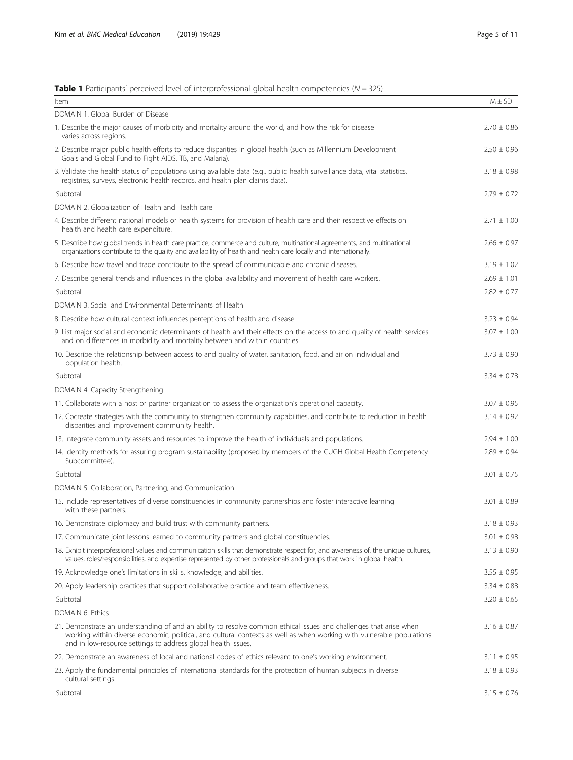# <span id="page-4-0"></span>**Table 1** Participants' perceived level of interprofessional global health competencies ( $N = 325$ )

| Item                                                                                                                                                                                                                                                                                                         | $M \pm SD$      |
|--------------------------------------------------------------------------------------------------------------------------------------------------------------------------------------------------------------------------------------------------------------------------------------------------------------|-----------------|
| DOMAIN 1. Global Burden of Disease                                                                                                                                                                                                                                                                           |                 |
| 1. Describe the major causes of morbidity and mortality around the world, and how the risk for disease<br>varies across regions.                                                                                                                                                                             | $2.70 \pm 0.86$ |
| 2. Describe major public health efforts to reduce disparities in global health (such as Millennium Development<br>Goals and Global Fund to Fight AIDS, TB, and Malaria).                                                                                                                                     | $2.50 \pm 0.96$ |
| 3. Validate the health status of populations using available data (e.g., public health surveillance data, vital statistics,<br>registries, surveys, electronic health records, and health plan claims data).                                                                                                 | $3.18 \pm 0.98$ |
| Subtotal                                                                                                                                                                                                                                                                                                     | $2.79 \pm 0.72$ |
| DOMAIN 2. Globalization of Health and Health care                                                                                                                                                                                                                                                            |                 |
| 4. Describe different national models or health systems for provision of health care and their respective effects on<br>health and health care expenditure.                                                                                                                                                  | $2.71 \pm 1.00$ |
| 5. Describe how global trends in health care practice, commerce and culture, multinational agreements, and multinational<br>organizations contribute to the quality and availability of health and health care locally and internationally.                                                                  | $2.66 \pm 0.97$ |
| 6. Describe how travel and trade contribute to the spread of communicable and chronic diseases.                                                                                                                                                                                                              | $3.19 \pm 1.02$ |
| 7. Describe general trends and influences in the global availability and movement of health care workers.                                                                                                                                                                                                    | $2.69 \pm 1.01$ |
| Subtotal                                                                                                                                                                                                                                                                                                     | $2.82 \pm 0.77$ |
| DOMAIN 3. Social and Environmental Determinants of Health                                                                                                                                                                                                                                                    |                 |
| 8. Describe how cultural context influences perceptions of health and disease.                                                                                                                                                                                                                               | $3.23 \pm 0.94$ |
| 9. List major social and economic determinants of health and their effects on the access to and quality of health services<br>and on differences in morbidity and mortality between and within countries.                                                                                                    | $3.07 \pm 1.00$ |
| 10. Describe the relationship between access to and quality of water, sanitation, food, and air on individual and<br>population health.                                                                                                                                                                      | $3.73 \pm 0.90$ |
| Subtotal                                                                                                                                                                                                                                                                                                     | $3.34 \pm 0.78$ |
| DOMAIN 4. Capacity Strengthening                                                                                                                                                                                                                                                                             |                 |
| 11. Collaborate with a host or partner organization to assess the organization's operational capacity.                                                                                                                                                                                                       | $3.07 \pm 0.95$ |
| 12. Cocreate strategies with the community to strengthen community capabilities, and contribute to reduction in health<br>disparities and improvement community health.                                                                                                                                      | $3.14 \pm 0.92$ |
| 13. Integrate community assets and resources to improve the health of individuals and populations.                                                                                                                                                                                                           | $2.94 \pm 1.00$ |
| 14. Identify methods for assuring program sustainability (proposed by members of the CUGH Global Health Competency<br>Subcommittee).                                                                                                                                                                         | $2.89 \pm 0.94$ |
| Subtotal                                                                                                                                                                                                                                                                                                     | $3.01 \pm 0.75$ |
| DOMAIN 5. Collaboration, Partnering, and Communication                                                                                                                                                                                                                                                       |                 |
| 15. Include representatives of diverse constituencies in community partnerships and foster interactive learning<br>with these partners.                                                                                                                                                                      | $3.01 \pm 0.89$ |
| 16. Demonstrate diplomacy and build trust with community partners.                                                                                                                                                                                                                                           | $3.18 \pm 0.93$ |
| 17. Communicate joint lessons learned to community partners and global constituencies.                                                                                                                                                                                                                       | $3.01 \pm 0.98$ |
| 18. Exhibit interprofessional values and communication skills that demonstrate respect for, and awareness of, the unique cultures,<br>values, roles/responsibilities, and expertise represented by other professionals and groups that work in global health.                                                | $3.13 \pm 0.90$ |
| 19. Acknowledge one's limitations in skills, knowledge, and abilities.                                                                                                                                                                                                                                       | $3.55 \pm 0.95$ |
| 20. Apply leadership practices that support collaborative practice and team effectiveness.                                                                                                                                                                                                                   | $3.34 \pm 0.88$ |
| Subtotal                                                                                                                                                                                                                                                                                                     | $3.20 \pm 0.65$ |
| DOMAIN 6. Ethics                                                                                                                                                                                                                                                                                             |                 |
| 21. Demonstrate an understanding of and an ability to resolve common ethical issues and challenges that arise when<br>working within diverse economic, political, and cultural contexts as well as when working with vulnerable populations<br>and in low-resource settings to address global health issues. | $3.16 \pm 0.87$ |
| 22. Demonstrate an awareness of local and national codes of ethics relevant to one's working environment.                                                                                                                                                                                                    | $3.11 \pm 0.95$ |
| 23. Apply the fundamental principles of international standards for the protection of human subjects in diverse<br>cultural settings.                                                                                                                                                                        | $3.18 \pm 0.93$ |
| Subtotal                                                                                                                                                                                                                                                                                                     | $3.15 \pm 0.76$ |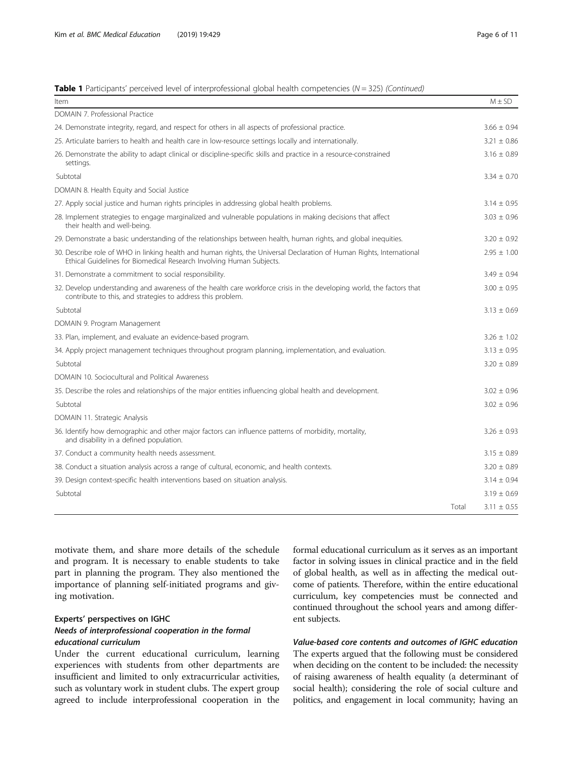# **Table 1** Participants' perceived level of interprofessional global health competencies ( $N = 325$ ) (Continued)

| Item                                                                                                                                                                                          |       | $M \pm SD$      |
|-----------------------------------------------------------------------------------------------------------------------------------------------------------------------------------------------|-------|-----------------|
| DOMAIN 7. Professional Practice                                                                                                                                                               |       |                 |
| 24. Demonstrate integrity, regard, and respect for others in all aspects of professional practice.                                                                                            |       | $3.66 \pm 0.94$ |
| 25. Articulate barriers to health and health care in low-resource settings locally and internationally.                                                                                       |       | $3.21 \pm 0.86$ |
| 26. Demonstrate the ability to adapt clinical or discipline-specific skills and practice in a resource-constrained<br>settings.                                                               |       | $3.16 \pm 0.89$ |
| Subtotal                                                                                                                                                                                      |       | $3.34 \pm 0.70$ |
| DOMAIN 8. Health Equity and Social Justice                                                                                                                                                    |       |                 |
| 27. Apply social justice and human rights principles in addressing global health problems.                                                                                                    |       | $3.14 \pm 0.95$ |
| 28. Implement strategies to engage marginalized and vulnerable populations in making decisions that affect<br>their health and well-being.                                                    |       | $3.03 \pm 0.96$ |
| 29. Demonstrate a basic understanding of the relationships between health, human rights, and global inequities.                                                                               |       | $3.20 \pm 0.92$ |
| 30. Describe role of WHO in linking health and human rights, the Universal Declaration of Human Rights, International<br>Ethical Guidelines for Biomedical Research Involving Human Subjects. |       | $2.95 \pm 1.00$ |
| 31. Demonstrate a commitment to social responsibility.                                                                                                                                        |       | $3.49 \pm 0.94$ |
| 32. Develop understanding and awareness of the health care workforce crisis in the developing world, the factors that<br>contribute to this, and strategies to address this problem.          |       | $3.00 \pm 0.95$ |
| Subtotal                                                                                                                                                                                      |       | $3.13 \pm 0.69$ |
| DOMAIN 9. Program Management                                                                                                                                                                  |       |                 |
| 33. Plan, implement, and evaluate an evidence-based program.                                                                                                                                  |       | $3.26 \pm 1.02$ |
| 34. Apply project management techniques throughout program planning, implementation, and evaluation.                                                                                          |       | $3.13 \pm 0.95$ |
| Subtotal                                                                                                                                                                                      |       | $3.20 \pm 0.89$ |
| DOMAIN 10. Sociocultural and Political Awareness                                                                                                                                              |       |                 |
| 35. Describe the roles and relationships of the major entities influencing global health and development.                                                                                     |       | $3.02 \pm 0.96$ |
| Subtotal                                                                                                                                                                                      |       | $3.02 \pm 0.96$ |
| DOMAIN 11. Strategic Analysis                                                                                                                                                                 |       |                 |
| 36. Identify how demographic and other major factors can influence patterns of morbidity, mortality,<br>and disability in a defined population.                                               |       | $3.26 \pm 0.93$ |
| 37. Conduct a community health needs assessment.                                                                                                                                              |       | $3.15 \pm 0.89$ |
| 38. Conduct a situation analysis across a range of cultural, economic, and health contexts.                                                                                                   |       | $3.20 \pm 0.89$ |
| 39. Design context-specific health interventions based on situation analysis.                                                                                                                 |       | $3.14 \pm 0.94$ |
| Subtotal                                                                                                                                                                                      |       | $3.19 \pm 0.69$ |
|                                                                                                                                                                                               | Total | $3.11 \pm 0.55$ |

motivate them, and share more details of the schedule and program. It is necessary to enable students to take part in planning the program. They also mentioned the importance of planning self-initiated programs and giving motivation.

# Experts' perspectives on IGHC Needs of interprofessional cooperation in the formal educational curriculum

Under the current educational curriculum, learning experiences with students from other departments are insufficient and limited to only extracurricular activities, such as voluntary work in student clubs. The expert group agreed to include interprofessional cooperation in the formal educational curriculum as it serves as an important factor in solving issues in clinical practice and in the field of global health, as well as in affecting the medical outcome of patients. Therefore, within the entire educational curriculum, key competencies must be connected and continued throughout the school years and among different subjects.

# Value-based core contents and outcomes of IGHC education The experts argued that the following must be considered when deciding on the content to be included: the necessity of raising awareness of health equality (a determinant of social health); considering the role of social culture and politics, and engagement in local community; having an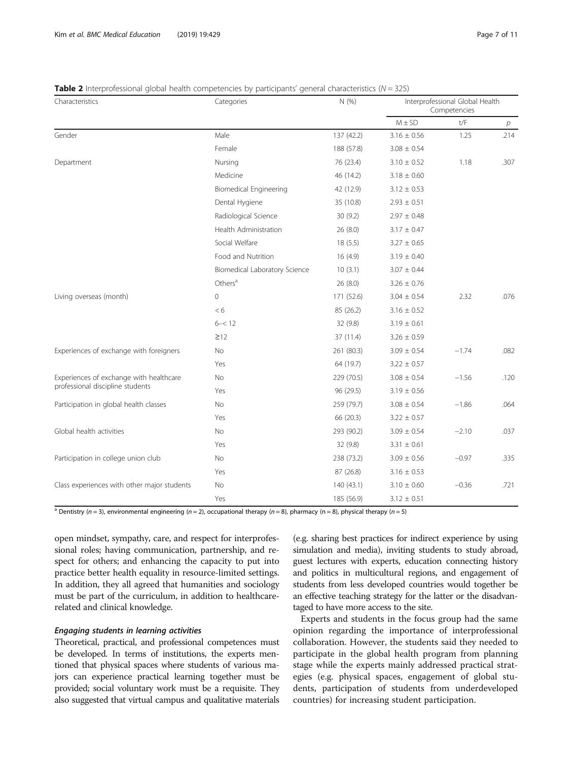# <span id="page-6-0"></span>**Table 2** Interprofessional global health competencies by participants' general characteristics ( $N = 325$ )

| $\bullet$ $\bullet$ interpretensional grobal meaning competencies by participants general enanceeristics (i.e.<br>Characteristics | Categories                    | N(%        | Interprofessional Global Health<br>Competencies |                         |      |
|-----------------------------------------------------------------------------------------------------------------------------------|-------------------------------|------------|-------------------------------------------------|-------------------------|------|
|                                                                                                                                   |                               |            | $M \pm SD$                                      | $\mathsf{t}/\mathsf{F}$ | р    |
| Gender                                                                                                                            | Male                          | 137 (42.2) | $3.16 \pm 0.56$                                 | 1.25                    | .214 |
|                                                                                                                                   | Female                        | 188 (57.8) | $3.08 \pm 0.54$                                 |                         |      |
| Department                                                                                                                        | Nursing                       | 76 (23.4)  | $3.10 \pm 0.52$                                 | 1.18                    | .307 |
|                                                                                                                                   | Medicine                      | 46 (14.2)  | $3.18 \pm 0.60$                                 |                         |      |
|                                                                                                                                   | <b>Biomedical Engineering</b> | 42 (12.9)  | $3.12 \pm 0.53$                                 |                         |      |
|                                                                                                                                   | Dental Hygiene                | 35 (10.8)  | $2.93 \pm 0.51$                                 |                         |      |
|                                                                                                                                   | Radiological Science          | 30(9.2)    | $2.97 \pm 0.48$                                 |                         |      |
|                                                                                                                                   | Health Administration         | 26(8.0)    | $3.17 \pm 0.47$                                 |                         |      |
|                                                                                                                                   | Social Welfare                | 18(5.5)    | $3.27 \pm 0.65$                                 |                         |      |
|                                                                                                                                   | Food and Nutrition            | 16(4.9)    | $3.19 \pm 0.40$                                 |                         |      |
|                                                                                                                                   | Biomedical Laboratory Science | 10(3.1)    | $3.07 \pm 0.44$                                 |                         |      |
|                                                                                                                                   | Others <sup>a</sup>           | 26(8.0)    | $3.26 \pm 0.76$                                 |                         |      |
| Living overseas (month)                                                                                                           | $\circ$                       | 171 (52.6) | $3.04 \pm 0.54$                                 | 2.32                    | .076 |
|                                                                                                                                   | < 6                           | 85 (26.2)  | $3.16 \pm 0.52$                                 |                         |      |
|                                                                                                                                   | $6 - 12$                      | 32 (9.8)   | $3.19 \pm 0.61$                                 |                         |      |
|                                                                                                                                   | $\geq$ 12                     | 37 (11.4)  | $3.26 \pm 0.59$                                 |                         |      |
| Experiences of exchange with foreigners                                                                                           | <b>No</b>                     | 261 (80.3) | $3.09 \pm 0.54$                                 | $-1.74$                 | .082 |
|                                                                                                                                   | Yes                           | 64 (19.7)  | $3.22 \pm 0.57$                                 |                         |      |
| Experiences of exchange with healthcare                                                                                           | No                            | 229 (70.5) | $3.08 \pm 0.54$                                 | $-1.56$                 | .120 |
| professional discipline students                                                                                                  | Yes                           | 96 (29.5)  | $3.19 \pm 0.56$                                 |                         |      |
| Participation in global health classes                                                                                            | No                            | 259 (79.7) | $3.08 \pm 0.54$                                 | $-1.86$                 | .064 |
|                                                                                                                                   | Yes                           | 66 (20.3)  | $3.22 \pm 0.57$                                 |                         |      |
| Global health activities                                                                                                          | No                            | 293 (90.2) | $3.09 \pm 0.54$                                 | $-2.10$                 | .037 |
|                                                                                                                                   | Yes                           | 32(9.8)    | $3.31 \pm 0.61$                                 |                         |      |
| Participation in college union club                                                                                               | <b>No</b>                     | 238 (73.2) | $3.09 \pm 0.56$                                 | $-0.97$                 | .335 |
|                                                                                                                                   | Yes                           | 87 (26.8)  | $3.16 \pm 0.53$                                 |                         |      |
| Class experiences with other major students                                                                                       | No                            | 140 (43.1) | $3.10 \pm 0.60$                                 | $-0.36$                 | .721 |
|                                                                                                                                   | Yes                           | 185 (56.9) | $3.12 \pm 0.51$                                 |                         |      |

<sup>a</sup> Dentistry (n = 3), environmental engineering (n = 2), occupational therapy (n = 8), pharmacy (n = 8), physical therapy (n = 5)

open mindset, sympathy, care, and respect for interprofessional roles; having communication, partnership, and respect for others; and enhancing the capacity to put into practice better health equality in resource-limited settings. In addition, they all agreed that humanities and sociology must be part of the curriculum, in addition to healthcarerelated and clinical knowledge.

## Engaging students in learning activities

Theoretical, practical, and professional competences must be developed. In terms of institutions, the experts mentioned that physical spaces where students of various majors can experience practical learning together must be provided; social voluntary work must be a requisite. They also suggested that virtual campus and qualitative materials

(e.g. sharing best practices for indirect experience by using simulation and media), inviting students to study abroad, guest lectures with experts, education connecting history and politics in multicultural regions, and engagement of students from less developed countries would together be an effective teaching strategy for the latter or the disadvantaged to have more access to the site.

Experts and students in the focus group had the same opinion regarding the importance of interprofessional collaboration. However, the students said they needed to participate in the global health program from planning stage while the experts mainly addressed practical strategies (e.g. physical spaces, engagement of global students, participation of students from underdeveloped countries) for increasing student participation.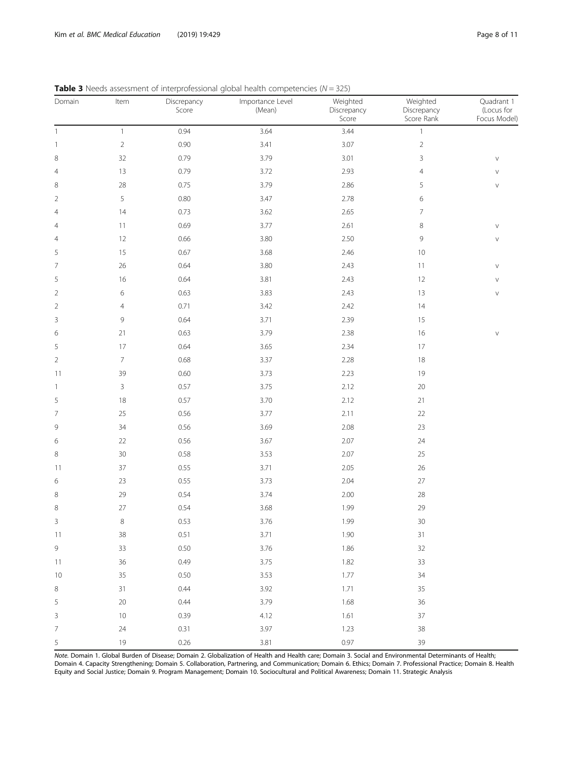| Domain                   | Item                      | Discrepancy<br>Score | Importance Level<br>(Mean) | Weighted<br>Discrepancy<br>Score | Weighted<br>Discrepancy<br>Score Rank | Quadrant 1<br>(Locus for<br>Focus Model) |
|--------------------------|---------------------------|----------------------|----------------------------|----------------------------------|---------------------------------------|------------------------------------------|
| $\mathbf{1}$             | $\ensuremath{\mathbb{1}}$ | 0.94                 | 3.64                       | 3.44                             | $\ensuremath{\mathsf{1}}$             |                                          |
| $\overline{\phantom{a}}$ | $\overline{2}$            | 0.90                 | 3.41                       | 3.07                             | $\overline{2}$                        |                                          |
| 8                        | 32                        | 0.79                 | 3.79                       | 3.01                             | 3                                     | $\vee$                                   |
| $\overline{4}$           | 13                        | 0.79                 | 3.72                       | 2.93                             | $\overline{4}$                        | V                                        |
| 8                        | 28                        | 0.75                 | 3.79                       | 2.86                             | 5                                     | $\vee$                                   |
| $\overline{2}$           | 5                         | $0.80\,$             | 3.47                       | 2.78                             | 6                                     |                                          |
| $\overline{4}$           | 14                        | 0.73                 | 3.62                       | 2.65                             | 7                                     |                                          |
| $\overline{4}$           | 11                        | 0.69                 | 3.77                       | 2.61                             | 8                                     | $\vee$                                   |
| $\overline{4}$           | 12                        | 0.66                 | $3.80\,$                   | 2.50                             | 9                                     | $\vee$                                   |
| 5                        | 15                        | 0.67                 | 3.68                       | 2.46                             | $10$                                  |                                          |
| 7                        | 26                        | 0.64                 | $3.80\,$                   | 2.43                             | 11                                    | $\vee$                                   |
| 5                        | 16                        | 0.64                 | 3.81                       | 2.43                             | 12                                    | $\lor$                                   |
| $\overline{2}$           | 6                         | 0.63                 | 3.83                       | 2.43                             | 13                                    | $\vee$                                   |
| $\overline{2}$           | 4                         | 0.71                 | 3.42                       | 2.42                             | 14                                    |                                          |
| 3                        | 9                         | 0.64                 | 3.71                       | 2.39                             | 15                                    |                                          |
| 6                        | 21                        | 0.63                 | 3.79                       | 2.38                             | 16                                    | $\lor$                                   |
| 5                        | $17\,$                    | 0.64                 | 3.65                       | 2.34                             | $17\,$                                |                                          |
| $\overline{2}$           | $\overline{7}$            | 0.68                 | 3.37                       | 2.28                             | 18                                    |                                          |
| 11                       | 39                        | 0.60                 | 3.73                       | 2.23                             | 19                                    |                                          |
| $\mathbf{1}$             | 3                         | 0.57                 | 3.75                       | 2.12                             | $20\,$                                |                                          |
| 5                        | 18                        | 0.57                 | 3.70                       | 2.12                             | 21                                    |                                          |
| $\overline{7}$           | 25                        | 0.56                 | 3.77                       | 2.11                             | 22                                    |                                          |
| $\mathsf 9$              | 34                        | $0.56\,$             | 3.69                       | 2.08                             | 23                                    |                                          |
| 6                        | 22                        | $0.56\,$             | 3.67                       | 2.07                             | 24                                    |                                          |
| 8                        | $30\,$                    | 0.58                 | 3.53                       | 2.07                             | 25                                    |                                          |
| 11                       | 37                        | 0.55                 | 3.71                       | 2.05                             | 26                                    |                                          |
| 6                        | 23                        | 0.55                 | 3.73                       | 2.04                             | $27\,$                                |                                          |
| 8                        | 29                        | 0.54                 | 3.74                       | 2.00                             | 28                                    |                                          |
| 8                        | 27                        | 0.54                 | 3.68                       | 1.99                             | 29                                    |                                          |
| 3                        | 8                         | 0.53                 | 3.76                       | 1.99                             | $30\,$                                |                                          |
| 11                       | 38                        | 0.51                 | 3.71                       | 1.90                             | 31                                    |                                          |
| $\mathsf 9$              | 33                        | 0.50                 | 3.76                       | 1.86                             | 32                                    |                                          |
| 11                       | 36                        | 0.49                 | 3.75                       | 1.82                             | 33                                    |                                          |
| 10                       | 35                        | 0.50                 | 3.53                       | 1.77                             | 34                                    |                                          |
| $\,8\,$                  | 31                        | 0.44                 | 3.92                       | 1.71                             | 35                                    |                                          |
| 5                        | 20                        | 0.44                 | 3.79                       | 1.68                             | 36                                    |                                          |
| 3                        | $10$                      | 0.39                 | 4.12                       | 1.61                             | $37\,$                                |                                          |
| $\overline{7}$           | 24                        | 0.31                 | 3.97                       | 1.23                             | 38                                    |                                          |
| 5                        | 19                        | 0.26                 | 3.81                       | 0.97                             | 39                                    |                                          |

<span id="page-7-0"></span>**Table 3** Needs assessment of interprofessional global health competencies ( $N = 325$ )

Note. Domain 1. Global Burden of Disease; Domain 2. Globalization of Health and Health care; Domain 3. Social and Environmental Determinants of Health; Domain 4. Capacity Strengthening; Domain 5. Collaboration, Partnering, and Communication; Domain 6. Ethics; Domain 7. Professional Practice; Domain 8. Health Equity and Social Justice; Domain 9. Program Management; Domain 10. Sociocultural and Political Awareness; Domain 11. Strategic Analysis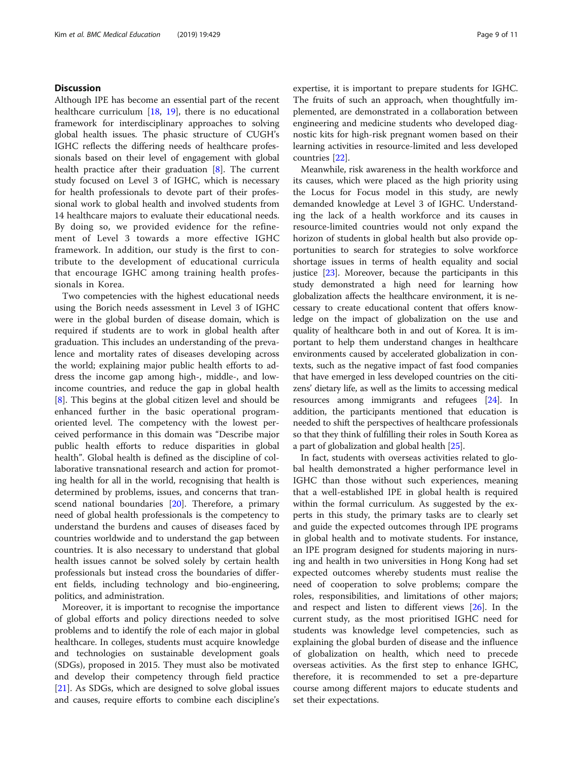# **Discussion**

Although IPE has become an essential part of the recent healthcare curriculum [\[18](#page-10-0), [19](#page-10-0)], there is no educational framework for interdisciplinary approaches to solving global health issues. The phasic structure of CUGH's IGHC reflects the differing needs of healthcare professionals based on their level of engagement with global health practice after their graduation [[8\]](#page-10-0). The current study focused on Level 3 of IGHC, which is necessary for health professionals to devote part of their professional work to global health and involved students from 14 healthcare majors to evaluate their educational needs. By doing so, we provided evidence for the refinement of Level 3 towards a more effective IGHC framework. In addition, our study is the first to contribute to the development of educational curricula that encourage IGHC among training health professionals in Korea.

Two competencies with the highest educational needs using the Borich needs assessment in Level 3 of IGHC were in the global burden of disease domain, which is required if students are to work in global health after graduation. This includes an understanding of the prevalence and mortality rates of diseases developing across the world; explaining major public health efforts to address the income gap among high-, middle-, and lowincome countries, and reduce the gap in global health [[8\]](#page-10-0). This begins at the global citizen level and should be enhanced further in the basic operational programoriented level. The competency with the lowest perceived performance in this domain was "Describe major public health efforts to reduce disparities in global health". Global health is defined as the discipline of collaborative transnational research and action for promoting health for all in the world, recognising that health is determined by problems, issues, and concerns that transcend national boundaries [[20\]](#page-10-0). Therefore, a primary need of global health professionals is the competency to understand the burdens and causes of diseases faced by countries worldwide and to understand the gap between countries. It is also necessary to understand that global health issues cannot be solved solely by certain health professionals but instead cross the boundaries of different fields, including technology and bio-engineering, politics, and administration.

Moreover, it is important to recognise the importance of global efforts and policy directions needed to solve problems and to identify the role of each major in global healthcare. In colleges, students must acquire knowledge and technologies on sustainable development goals (SDGs), proposed in 2015. They must also be motivated and develop their competency through field practice [[21\]](#page-10-0). As SDGs, which are designed to solve global issues and causes, require efforts to combine each discipline's expertise, it is important to prepare students for IGHC. The fruits of such an approach, when thoughtfully implemented, are demonstrated in a collaboration between engineering and medicine students who developed diagnostic kits for high-risk pregnant women based on their learning activities in resource-limited and less developed countries [[22](#page-10-0)].

Meanwhile, risk awareness in the health workforce and its causes, which were placed as the high priority using the Locus for Focus model in this study, are newly demanded knowledge at Level 3 of IGHC. Understanding the lack of a health workforce and its causes in resource-limited countries would not only expand the horizon of students in global health but also provide opportunities to search for strategies to solve workforce shortage issues in terms of health equality and social justice [\[23](#page-10-0)]. Moreover, because the participants in this study demonstrated a high need for learning how globalization affects the healthcare environment, it is necessary to create educational content that offers knowledge on the impact of globalization on the use and quality of healthcare both in and out of Korea. It is important to help them understand changes in healthcare environments caused by accelerated globalization in contexts, such as the negative impact of fast food companies that have emerged in less developed countries on the citizens' dietary life, as well as the limits to accessing medical resources among immigrants and refugees [\[24\]](#page-10-0). In addition, the participants mentioned that education is needed to shift the perspectives of healthcare professionals so that they think of fulfilling their roles in South Korea as a part of globalization and global health [[25](#page-10-0)].

In fact, students with overseas activities related to global health demonstrated a higher performance level in IGHC than those without such experiences, meaning that a well-established IPE in global health is required within the formal curriculum. As suggested by the experts in this study, the primary tasks are to clearly set and guide the expected outcomes through IPE programs in global health and to motivate students. For instance, an IPE program designed for students majoring in nursing and health in two universities in Hong Kong had set expected outcomes whereby students must realise the need of cooperation to solve problems; compare the roles, responsibilities, and limitations of other majors; and respect and listen to different views [\[26\]](#page-10-0). In the current study, as the most prioritised IGHC need for students was knowledge level competencies, such as explaining the global burden of disease and the influence of globalization on health, which need to precede overseas activities. As the first step to enhance IGHC, therefore, it is recommended to set a pre-departure course among different majors to educate students and set their expectations.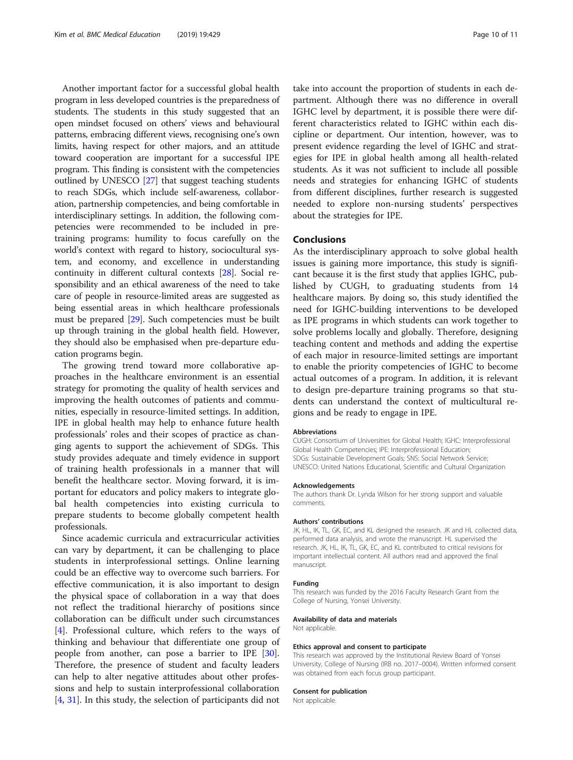Another important factor for a successful global health program in less developed countries is the preparedness of students. The students in this study suggested that an open mindset focused on others' views and behavioural patterns, embracing different views, recognising one's own limits, having respect for other majors, and an attitude toward cooperation are important for a successful IPE program. This finding is consistent with the competencies outlined by UNESCO [[27](#page-10-0)] that suggest teaching students to reach SDGs, which include self-awareness, collaboration, partnership competencies, and being comfortable in interdisciplinary settings. In addition, the following competencies were recommended to be included in pretraining programs: humility to focus carefully on the world's context with regard to history, sociocultural system, and economy, and excellence in understanding continuity in different cultural contexts [\[28\]](#page-10-0). Social responsibility and an ethical awareness of the need to take care of people in resource-limited areas are suggested as being essential areas in which healthcare professionals must be prepared [[29](#page-10-0)]. Such competencies must be built up through training in the global health field. However, they should also be emphasised when pre-departure education programs begin.

The growing trend toward more collaborative approaches in the healthcare environment is an essential strategy for promoting the quality of health services and improving the health outcomes of patients and communities, especially in resource-limited settings. In addition, IPE in global health may help to enhance future health professionals' roles and their scopes of practice as changing agents to support the achievement of SDGs. This study provides adequate and timely evidence in support of training health professionals in a manner that will benefit the healthcare sector. Moving forward, it is important for educators and policy makers to integrate global health competencies into existing curricula to prepare students to become globally competent health professionals.

Since academic curricula and extracurricular activities can vary by department, it can be challenging to place students in interprofessional settings. Online learning could be an effective way to overcome such barriers. For effective communication, it is also important to design the physical space of collaboration in a way that does not reflect the traditional hierarchy of positions since collaboration can be difficult under such circumstances [[4\]](#page-10-0). Professional culture, which refers to the ways of thinking and behaviour that differentiate one group of people from another, can pose a barrier to IPE [\[30](#page-10-0)]. Therefore, the presence of student and faculty leaders can help to alter negative attitudes about other professions and help to sustain interprofessional collaboration [[4,](#page-10-0) [31\]](#page-10-0). In this study, the selection of participants did not

take into account the proportion of students in each department. Although there was no difference in overall IGHC level by department, it is possible there were different characteristics related to IGHC within each discipline or department. Our intention, however, was to present evidence regarding the level of IGHC and strategies for IPE in global health among all health-related students. As it was not sufficient to include all possible needs and strategies for enhancing IGHC of students from different disciplines, further research is suggested needed to explore non-nursing students' perspectives about the strategies for IPE.

# Conclusions

As the interdisciplinary approach to solve global health issues is gaining more importance, this study is significant because it is the first study that applies IGHC, published by CUGH, to graduating students from 14 healthcare majors. By doing so, this study identified the need for IGHC-building interventions to be developed as IPE programs in which students can work together to solve problems locally and globally. Therefore, designing teaching content and methods and adding the expertise of each major in resource-limited settings are important to enable the priority competencies of IGHC to become actual outcomes of a program. In addition, it is relevant to design pre-departure training programs so that students can understand the context of multicultural regions and be ready to engage in IPE.

#### Abbreviations

CUGH: Consortium of Universities for Global Health; IGHC: Interprofessional Global Health Competencies; IPE: Interprofessional Education; SDGs: Sustainable Development Goals; SNS: Social Network Service; UNESCO: United Nations Educational, Scientific and Cultural Organization

## Acknowledgements

The authors thank Dr. Lynda Wilson for her strong support and valuable comments.

#### Authors' contributions

JK, HL, IK, TL, GK, EC, and KL designed the research. JK and HL collected data, performed data analysis, and wrote the manuscript. HL supervised the research. JK, HL, IK, TL, GK, EC, and KL contributed to critical revisions for important intellectual content. All authors read and approved the final manuscript.

#### Funding

This research was funded by the 2016 Faculty Research Grant from the College of Nursing, Yonsei University.

## Availability of data and materials

Not applicable.

## Ethics approval and consent to participate

This research was approved by the Institutional Review Board of Yonsei University, College of Nursing (IRB no. 2017–0004). Written informed consent was obtained from each focus group participant.

#### Consent for publication

Not applicable.